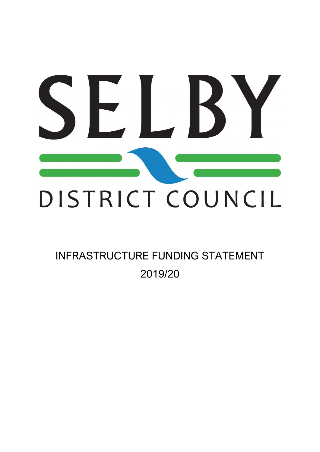# $\vert \Gamma \vert$ DISTRICT COUNCIL

# INFRASTRUCTURE FUNDING STATEMENT 2019/20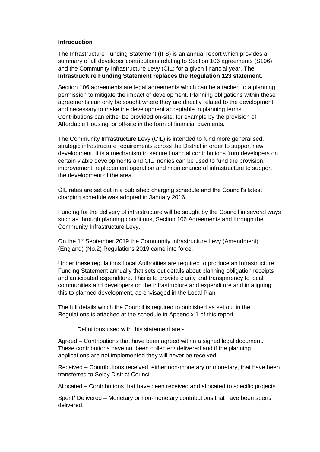### **Introduction**

The Infrastructure Funding Statement (IFS) is an annual report which provides a summary of all developer contributions relating to Section 106 agreements (S106) and the Community Infrastructure Levy (CIL) for a given financial year. **The Infrastructure Funding Statement replaces the Regulation 123 statement.**

Section 106 agreements are legal agreements which can be attached to a planning permission to mitigate the impact of development. Planning obligations within these agreements can only be sought where they are directly related to the development and necessary to make the development acceptable in planning terms. Contributions can either be provided on-site, for example by the provision of Affordable Housing, or off-site in the form of financial payments.

The Community Infrastructure Levy (CIL) is intended to fund more generalised, strategic infrastructure requirements across the District in order to support new development. It is a mechanism to secure financial contributions from developers on certain viable developments and CIL monies can be used to fund the provision, improvement, replacement operation and maintenance of infrastructure to support the development of the area.

CIL rates are set out in a published charging schedule and the Council's latest charging schedule was adopted in January 2016.

Funding for the delivery of infrastructure will be sought by the Council in several ways such as through planning conditions, Section 106 Agreements and through the Community Infrastructure Levy.

On the 1<sup>st</sup> September 2019 the Community Infrastructure Levy (Amendment) (England) (No.2) Regulations 2019 came into force.

Under these regulations Local Authorities are required to produce an Infrastructure Funding Statement annually that sets out details about planning obligation receipts and anticipated expenditure. This is to provide clarity and transparency to local communities and developers on the infrastructure and expenditure and in aligning this to planned development, as envisaged in the Local Plan

The full details which the Council is required to published as set out in the Regulations is attached at the schedule in Appendix 1 of this report.

### Definitions used with this statement are:-

Agreed – Contributions that have been agreed within a signed legal document. These contributions have not been collected/ delivered and if the planning applications are not implemented they will never be received.

Received – Contributions received, either non-monetary or monetary, that have been transferred to Selby District Council

Allocated – Contributions that have been received and allocated to specific projects.

Spent/ Delivered – Monetary or non-monetary contributions that have been spent/ delivered.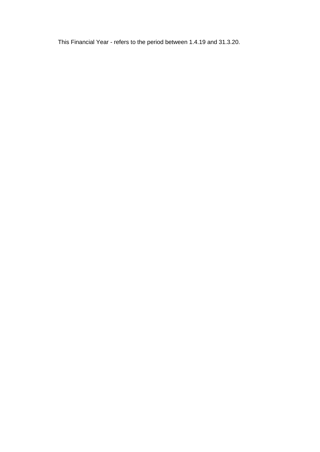This Financial Year - refers to the period between 1.4.19 and 31.3.20.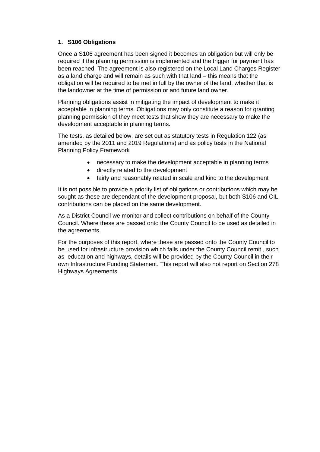### **1. S106 Obligations**

Once a S106 agreement has been signed it becomes an obligation but will only be required if the planning permission is implemented and the trigger for payment has been reached. The agreement is also registered on the Local Land Charges Register as a land charge and will remain as such with that land – this means that the obligation will be required to be met in full by the owner of the land, whether that is the landowner at the time of permission or and future land owner.

Planning obligations assist in mitigating the impact of development to make it acceptable in planning terms. Obligations may only constitute a reason for granting planning permission of they meet tests that show they are necessary to make the development acceptable in planning terms.

The tests, as detailed below, are set out as statutory tests in Regulation 122 (as amended by the 2011 and 2019 Regulations) and as policy tests in the National Planning Policy Framework

- necessary to make the development acceptable in planning terms
- directly related to the development
- fairly and reasonably related in scale and kind to the development

It is not possible to provide a priority list of obligations or contributions which may be sought as these are dependant of the development proposal, but both S106 and CIL contributions can be placed on the same development.

As a District Council we monitor and collect contributions on behalf of the County Council. Where these are passed onto the County Council to be used as detailed in the agreements.

For the purposes of this report, where these are passed onto the County Council to be used for infrastructure provision which falls under the County Council remit , such as education and highways, details will be provided by the County Council in their own Infrastructure Funding Statement. This report will also not report on Section 278 Highways Agreements.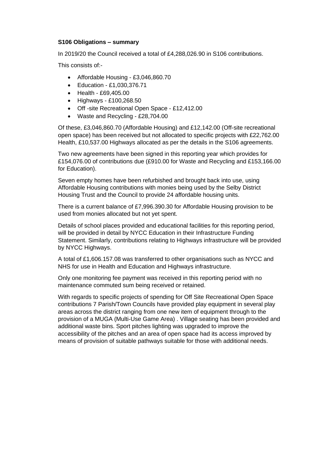### **S106 Obligations – summary**

In 2019/20 the Council received a total of £4,288,026.90 in S106 contributions.

This consists of:-

- Affordable Housing £3,046,860.70
- Education £1,030,376.71
- Health £69,405.00
- Highways £100,268.50
- Off -site Recreational Open Space £12,412.00
- Waste and Recycling £28,704.00

Of these, £3,046,860.70 (Affordable Housing) and £12,142.00 (Off-site recreational open space) has been received but not allocated to specific projects with £22,762.00 Health, £10,537.00 Highways allocated as per the details in the S106 agreements.

Two new agreements have been signed in this reporting year which provides for £154,076.00 of contributions due (£910.00 for Waste and Recycling and £153,166.00 for Education).

Seven empty homes have been refurbished and brought back into use, using Affordable Housing contributions with monies being used by the Selby District Housing Trust and the Council to provide 24 affordable housing units.

There is a current balance of £7,996.390.30 for Affordable Housing provision to be used from monies allocated but not yet spent.

Details of school places provided and educational facilities for this reporting period, will be provided in detail by NYCC Education in their Infrastructure Funding Statement. Similarly, contributions relating to Highways infrastructure will be provided by NYCC Highways.

A total of £1,606.157.08 was transferred to other organisations such as NYCC and NHS for use in Health and Education and Highways infrastructure.

Only one monitoring fee payment was received in this reporting period with no maintenance commuted sum being received or retained.

With regards to specific projects of spending for Off Site Recreational Open Space contributions 7 Parish/Town Councils have provided play equipment in several play areas across the district ranging from one new item of equipment through to the provision of a MUGA (Multi-Use Game Area) . Village seating has been provided and additional waste bins. Sport pitches lighting was upgraded to improve the accessibility of the pitches and an area of open space had its access improved by means of provision of suitable pathways suitable for those with additional needs.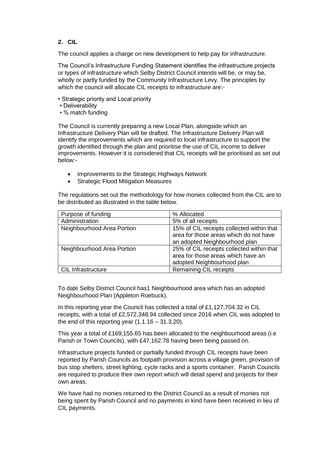### **2. CIL**

The council applies a charge on new development to help pay for infrastructure.

The Council's Infrastructure Funding Statement identifies the infrastructure projects or types of infrastructure which Selby District Council intends will be, or may be, wholly or partly funded by the Community Infrastructure Levy. The principles by which the council will allocate CIL receipts to infrastructure are:-

- Strategic priority and Local priority
- Deliverability
- % match funding

The Council is currently preparing a new Local Plan, alongside which an Infrastructure Delivery Plan will be drafted. The Infrastructure Delivery Plan will identify the improvements which are required to local infrastructure to support the growth identified through the plan and prioritise the use of CIL income to deliver improvements. However it is considered that CIL receipts will be prioritised as set out below:-

- Improvements to the Strategic Highways Network
- Strategic Flood Mitigation Measures

The regulations set out the methodology for how monies collected from the CIL are to be distributed as illustrated in the table below.

| Purpose of funding         | % Allocated                               |
|----------------------------|-------------------------------------------|
| Administration             | 5% of all receipts                        |
| Neighbourhood Area Portion | 15% of CIL receipts collected within that |
|                            | area for those areas which do not have    |
|                            | an adopted Neighbourhood plan             |
| Neighbourhood Area Portion | 25% of CIL receipts collected within that |
|                            | area for those areas which have an        |
|                            | adopted Neighbourhood plan                |
| <b>CIL Infrastructure</b>  | <b>Remaining CIL receipts</b>             |

To date Selby District Council has1 Neighbourhood area which has an adopted Neighbourhood Plan (Appleton Roebuck).

In this reporting year the Council has collected a total of £1,127,704.32 in CIL receipts, with a total of £2,572,348.94 collected since 2016 when CIL was adopted to the end of this reporting year  $(1.1.16 - 31.3.20)$ .

This year a total of £169,155.65 has been allocated to the neighbourhood areas (i.e Parish or Town Councils), with £47,162.78 having been being passed on.

Infrastructure projects funded or partially funded through CIL receipts have been reported by Parish Councils as footpath provision across a village green, provision of bus stop shelters, street lighting, cycle racks and a sports container. Parish Councils are required to produce their own report which will detail spend and projects for their own areas.

We have had no monies returned to the District Council as a result of monies not being spent by Parish Council and no payments in kind have been received in lieu of CIL payments.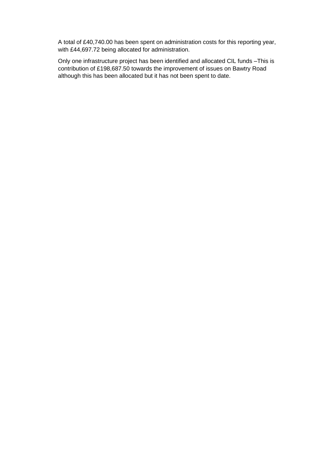A total of £40,740.00 has been spent on administration costs for this reporting year, with £44,697.72 being allocated for administration.

Only one infrastructure project has been identified and allocated CIL funds –This is contribution of £198,687.50 towards the improvement of issues on Bawtry Road although this has been allocated but it has not been spent to date.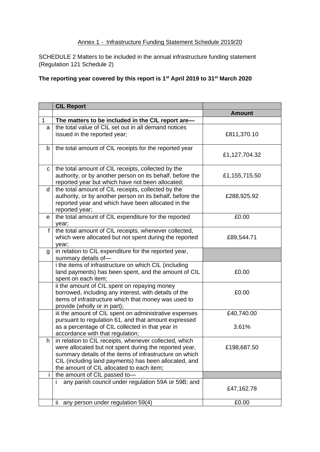# Annex 1 - Infrastructure Funding Statement Schedule 2019/20

SCHEDULE 2 Matters to be included in the annual infrastructure funding statement (Regulation 121 Schedule 2)

## **The reporting year covered by this report is 1st April 2019 to 31st March 2020**

|              | <b>CIL Report</b>                                                                                                                                                                                                                                                                 |               |
|--------------|-----------------------------------------------------------------------------------------------------------------------------------------------------------------------------------------------------------------------------------------------------------------------------------|---------------|
|              |                                                                                                                                                                                                                                                                                   | <b>Amount</b> |
| $\mathbf{1}$ | The matters to be included in the CIL report are-                                                                                                                                                                                                                                 |               |
| a            | the total value of CIL set out in all demand notices<br>issued in the reported year;                                                                                                                                                                                              | £811,370.10   |
| b            | the total amount of CIL receipts for the reported year                                                                                                                                                                                                                            | £1,127,704.32 |
| С            | the total amount of CIL receipts, collected by the<br>authority, or by another person on its behalf, before the<br>reported year but which have not been allocated;                                                                                                               | £1,155,715.50 |
| d            | the total amount of CIL receipts, collected by the<br>authority, or by another person on its behalf, before the<br>reported year and which have been allocated in the<br>reported year;                                                                                           | £288,925.92   |
| $\mathbf e$  | the total amount of CIL expenditure for the reported<br>year;                                                                                                                                                                                                                     | £0.00         |
| f            | the total amount of CIL receipts, whenever collected,<br>which were allocated but not spent during the reported<br>year;                                                                                                                                                          | £89,544.71    |
| g            | in relation to CIL expenditure for the reported year,<br>summary details of-                                                                                                                                                                                                      |               |
|              | i the items of infrastructure on which CIL (including<br>land payments) has been spent, and the amount of CIL<br>spent on each item;                                                                                                                                              | £0.00         |
|              | ii the amount of CIL spent on repaying money<br>borrowed, including any interest, with details of the<br>items of infrastructure which that money was used to<br>provide (wholly or in part);                                                                                     | £0.00         |
|              | iii the amount of CIL spent on administrative expenses<br>pursuant to regulation 61, and that amount expressed                                                                                                                                                                    | £40,740.00    |
|              | as a percentage of CIL collected in that year in<br>accordance with that regulation;                                                                                                                                                                                              | 3.61%         |
| h.           | in relation to CIL receipts, whenever collected, which<br>were allocated but not spent during the reported year,<br>summary details of the items of infrastructure on which<br>CIL (including land payments) has been allocated, and<br>the amount of CIL allocated to each item; | £198,687.50   |
|              | the amount of CIL passed to-                                                                                                                                                                                                                                                      |               |
|              | any parish council under regulation 59A or 59B; and<br>Ť                                                                                                                                                                                                                          | £47,162.78    |
|              | ii any person under regulation 59(4)                                                                                                                                                                                                                                              | £0.00         |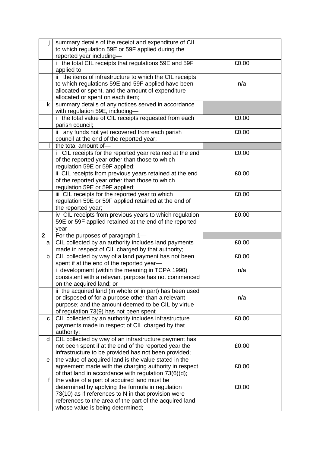| İ            | summary details of the receipt and expenditure of CIL                                       |       |
|--------------|---------------------------------------------------------------------------------------------|-------|
|              | to which regulation 59E or 59F applied during the                                           |       |
|              | reported year including-                                                                    |       |
|              | i the total CIL receipts that regulations 59E and 59F<br>applied to;                        | £0.00 |
|              | ii the items of infrastructure to which the CIL receipts                                    |       |
|              | to which regulations 59E and 59F applied have been                                          | n/a   |
|              | allocated or spent, and the amount of expenditure                                           |       |
|              | allocated or spent on each item;                                                            |       |
| $\mathsf{k}$ | summary details of any notices served in accordance                                         |       |
|              | with regulation 59E, including-                                                             |       |
|              | i the total value of CIL receipts requested from each                                       | £0.00 |
|              | parish council;                                                                             |       |
|              | ii any funds not yet recovered from each parish                                             | £0.00 |
|              | council at the end of the reported year;                                                    |       |
|              | the total amount of-                                                                        |       |
|              | i CIL receipts for the reported year retained at the end                                    | £0.00 |
|              | of the reported year other than those to which                                              |       |
|              | regulation 59E or 59F applied;                                                              |       |
|              | ii CIL receipts from previous years retained at the end                                     | £0.00 |
|              | of the reported year other than those to which<br>regulation 59E or 59F applied;            |       |
|              | iii CIL receipts for the reported year to which                                             | £0.00 |
|              | regulation 59E or 59F applied retained at the end of                                        |       |
|              | the reported year;                                                                          |       |
|              | iv CIL receipts from previous years to which regulation                                     | £0.00 |
|              | 59E or 59F applied retained at the end of the reported                                      |       |
|              |                                                                                             |       |
|              | year                                                                                        |       |
| $\mathbf{2}$ | For the purposes of paragraph 1-                                                            |       |
| a            | CIL collected by an authority includes land payments                                        | £0.00 |
|              | made in respect of CIL charged by that authority;                                           |       |
| b            | CIL collected by way of a land payment has not been                                         | £0.00 |
|              | spent if at the end of the reported year-                                                   |       |
|              | i development (within the meaning in TCPA 1990)                                             | n/a   |
|              | consistent with a relevant purpose has not commenced                                        |       |
|              | on the acquired land; or                                                                    |       |
|              | ii the acquired land (in whole or in part) has been used                                    |       |
|              | or disposed of for a purpose other than a relevant                                          | n/a   |
|              | purpose; and the amount deemed to be CIL by virtue                                          |       |
| C            | of regulation 73(9) has not been spent                                                      | £0.00 |
|              | CIL collected by an authority includes infrastructure                                       |       |
|              | payments made in respect of CIL charged by that<br>authority;                               |       |
| d            | CIL collected by way of an infrastructure payment has                                       |       |
|              | not been spent if at the end of the reported year the                                       | £0.00 |
|              | infrastructure to be provided has not been provided;                                        |       |
| e            | the value of acquired land is the value stated in the                                       |       |
|              | agreement made with the charging authority in respect                                       | £0.00 |
|              | of that land in accordance with regulation 73(6)(d);                                        |       |
| f            | the value of a part of acquired land must be                                                |       |
|              | determined by applying the formula in regulation                                            | £0.00 |
|              | 73(10) as if references to N in that provision were                                         |       |
|              | references to the area of the part of the acquired land<br>whose value is being determined; |       |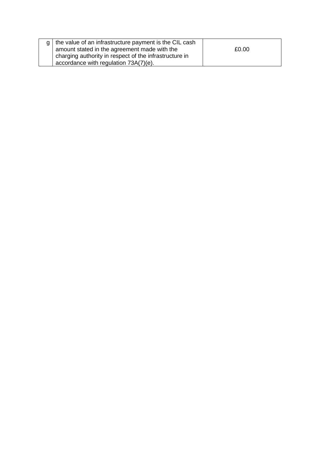|  | $g \mid$ the value of an infrastructure payment is the CIL cash |       |
|--|-----------------------------------------------------------------|-------|
|  | amount stated in the agreement made with the                    | £0.00 |
|  | charging authority in respect of the infrastructure in          |       |
|  | accordance with regulation 73A(7)(e).                           |       |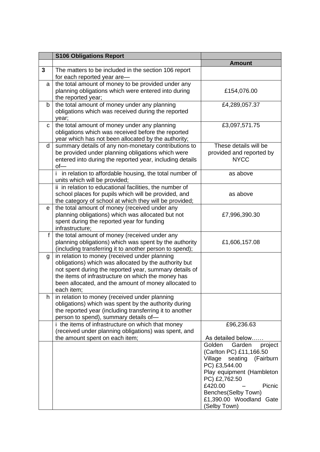|              | <b>S106 Obligations Report</b>                                                                                                                                                                                                                                                               |                                                                                                                                                                                                                                                 |
|--------------|----------------------------------------------------------------------------------------------------------------------------------------------------------------------------------------------------------------------------------------------------------------------------------------------|-------------------------------------------------------------------------------------------------------------------------------------------------------------------------------------------------------------------------------------------------|
|              |                                                                                                                                                                                                                                                                                              | <b>Amount</b>                                                                                                                                                                                                                                   |
| 3            | The matters to be included in the section 106 report<br>for each reported year are-                                                                                                                                                                                                          |                                                                                                                                                                                                                                                 |
| a            | the total amount of money to be provided under any<br>planning obligations which were entered into during<br>the reported year;                                                                                                                                                              | £154,076.00                                                                                                                                                                                                                                     |
| b            | the total amount of money under any planning<br>obligations which was received during the reported<br>year;                                                                                                                                                                                  | £4,289,057.37                                                                                                                                                                                                                                   |
| C            | the total amount of money under any planning<br>obligations which was received before the reported<br>year which has not been allocated by the authority;                                                                                                                                    | £3,097,571.75                                                                                                                                                                                                                                   |
| d            | summary details of any non-monetary contributions to<br>be provided under planning obligations which were<br>entered into during the reported year, including details<br>$of -$                                                                                                              | These details will be<br>provided and reported by<br><b>NYCC</b>                                                                                                                                                                                |
|              | i in relation to affordable housing, the total number of<br>units which will be provided;                                                                                                                                                                                                    | as above                                                                                                                                                                                                                                        |
|              | ii in relation to educational facilities, the number of<br>school places for pupils which will be provided, and<br>the category of school at which they will be provided;                                                                                                                    | as above                                                                                                                                                                                                                                        |
| $\mathbf{e}$ | the total amount of money (received under any<br>planning obligations) which was allocated but not<br>spent during the reported year for funding<br>infrastructure;                                                                                                                          | £7,996,390.30                                                                                                                                                                                                                                   |
| f            | the total amount of money (received under any<br>planning obligations) which was spent by the authority<br>(including transferring it to another person to spend);                                                                                                                           | £1,606,157.08                                                                                                                                                                                                                                   |
| g            | in relation to money (received under planning<br>obligations) which was allocated by the authority but<br>not spent during the reported year, summary details of<br>the items of infrastructure on which the money has<br>been allocated, and the amount of money allocated to<br>each item: |                                                                                                                                                                                                                                                 |
| h.           | in relation to money (received under planning<br>obligations) which was spent by the authority during<br>the reported year (including transferring it to another<br>person to spend), summary details of-                                                                                    |                                                                                                                                                                                                                                                 |
|              | i the items of infrastructure on which that money<br>(received under planning obligations) was spent, and<br>the amount spent on each item;                                                                                                                                                  | £96,236.63<br>As detailed below                                                                                                                                                                                                                 |
|              |                                                                                                                                                                                                                                                                                              | Golden<br>project<br>Garden<br>(Carlton PC) £11,166.50<br>Village<br>seating<br>(Fairburn<br>PC) £3,544.00<br>Play equipment (Hambleton<br>PC) £2,762.50<br>£420.00<br>Picnic<br>Benches(Selby Town)<br>£1,390.00 Woodland Gate<br>(Selby Town) |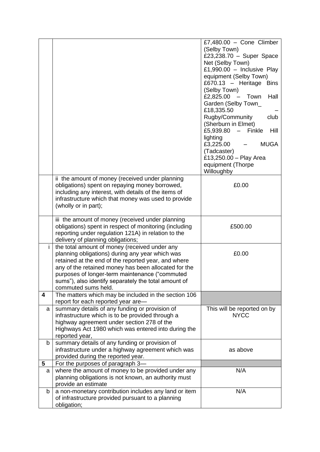|                         |                                                                                                                                                                                                                                                                                                                                                  | £7,480.00 - Cone Climber<br>(Selby Town)<br>£23,238.70 - Super Space<br>Net (Selby Town)<br>£1,990.00 - Inclusive Play<br>equipment (Selby Town)<br>£670.13 - Heritage Bins<br>(Selby Town)<br>£2,825.00 $-$ Town<br>Hall<br>Garden (Selby Town_<br>£18,335.50<br>Rugby/Community<br>club<br>(Sherburn in Elmet)<br>£5,939.80<br>Finkle<br>Hill<br>$\frac{1}{2}$<br>lighting<br>£3,225.00<br><b>MUGA</b><br>(Tadcaster)<br>£13,250.00 - Play Area<br>equipment (Thorpe<br>Willoughby |
|-------------------------|--------------------------------------------------------------------------------------------------------------------------------------------------------------------------------------------------------------------------------------------------------------------------------------------------------------------------------------------------|--------------------------------------------------------------------------------------------------------------------------------------------------------------------------------------------------------------------------------------------------------------------------------------------------------------------------------------------------------------------------------------------------------------------------------------------------------------------------------------|
|                         | ii the amount of money (received under planning<br>obligations) spent on repaying money borrowed,<br>including any interest, with details of the items of<br>infrastructure which that money was used to provide<br>(wholly or in part);                                                                                                         | £0.00                                                                                                                                                                                                                                                                                                                                                                                                                                                                                |
|                         | iii the amount of money (received under planning<br>obligations) spent in respect of monitoring (including<br>reporting under regulation 121A) in relation to the<br>delivery of planning obligations;                                                                                                                                           | £500.00                                                                                                                                                                                                                                                                                                                                                                                                                                                                              |
| i.                      | the total amount of money (received under any<br>planning obligations) during any year which was<br>retained at the end of the reported year, and where<br>any of the retained money has been allocated for the<br>purposes of longer-term maintenance ("commuted<br>sums"), also identify separately the total amount of<br>commuted sums held. | £0.00                                                                                                                                                                                                                                                                                                                                                                                                                                                                                |
| $\overline{\mathbf{4}}$ | The matters which may be included in the section 106<br>report for each reported year are-                                                                                                                                                                                                                                                       |                                                                                                                                                                                                                                                                                                                                                                                                                                                                                      |
| a                       | summary details of any funding or provision of<br>infrastructure which is to be provided through a<br>highway agreement under section 278 of the<br>Highways Act 1980 which was entered into during the<br>reported year,                                                                                                                        | This will be reported on by<br><b>NYCC</b>                                                                                                                                                                                                                                                                                                                                                                                                                                           |
| b                       | summary details of any funding or provision of<br>infrastructure under a highway agreement which was<br>provided during the reported year.                                                                                                                                                                                                       | as above                                                                                                                                                                                                                                                                                                                                                                                                                                                                             |
| 5                       | For the purposes of paragraph 3-<br>where the amount of money to be provided under any                                                                                                                                                                                                                                                           | N/A                                                                                                                                                                                                                                                                                                                                                                                                                                                                                  |
| a                       | planning obligations is not known, an authority must<br>provide an estimate                                                                                                                                                                                                                                                                      |                                                                                                                                                                                                                                                                                                                                                                                                                                                                                      |
| b                       | a non-monetary contribution includes any land or item<br>of infrastructure provided pursuant to a planning<br>obligation;                                                                                                                                                                                                                        | N/A                                                                                                                                                                                                                                                                                                                                                                                                                                                                                  |